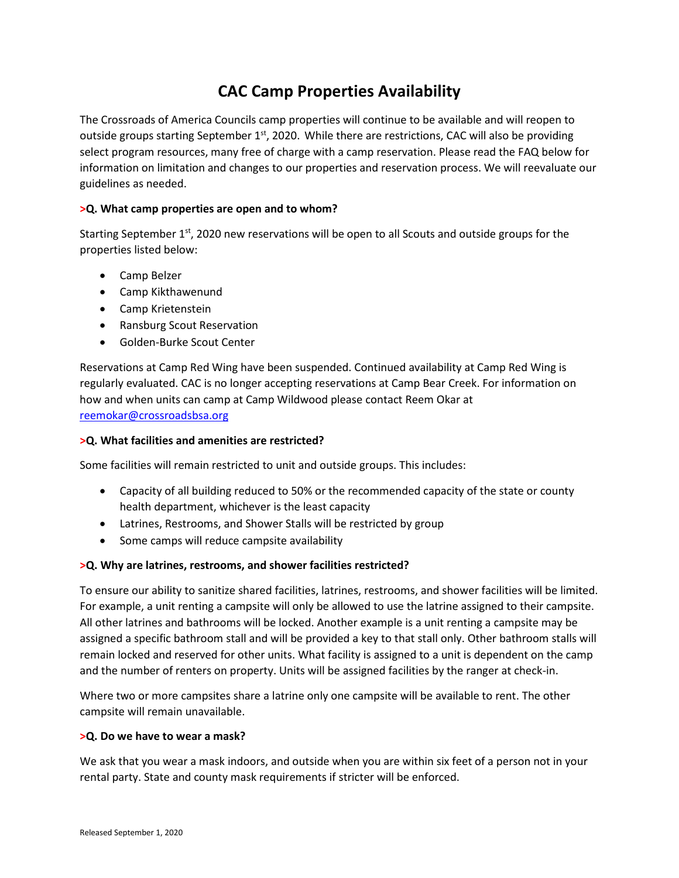# **CAC Camp Properties Availability**

The Crossroads of America Councils camp properties will continue to be available and will reopen to outside groups starting September  $1<sup>st</sup>$ , 2020. While there are restrictions, CAC will also be providing select program resources, many free of charge with a camp reservation. Please read the FAQ below for information on limitation and changes to our properties and reservation process. We will reevaluate our guidelines as needed.

# **>Q. What camp properties are open and to whom?**

Starting September  $1<sup>st</sup>$ , 2020 new reservations will be open to all Scouts and outside groups for the properties listed below:

- Camp Belzer
- Camp Kikthawenund
- Camp Krietenstein
- Ransburg Scout Reservation
- Golden-Burke Scout Center

Reservations at Camp Red Wing have been suspended. Continued availability at Camp Red Wing is regularly evaluated. CAC is no longer accepting reservations at Camp Bear Creek. For information on how and when units can camp at Camp Wildwood please contact Reem Okar at [reemokar@crossroadsbsa.org](mailto:reemokar@crossroadsbsa.org)

### **>Q. What facilities and amenities are restricted?**

Some facilities will remain restricted to unit and outside groups. This includes:

- Capacity of all building reduced to 50% or the recommended capacity of the state or county health department, whichever is the least capacity
- Latrines, Restrooms, and Shower Stalls will be restricted by group
- Some camps will reduce campsite availability

# **>Q. Why are latrines, restrooms, and shower facilities restricted?**

To ensure our ability to sanitize shared facilities, latrines, restrooms, and shower facilities will be limited. For example, a unit renting a campsite will only be allowed to use the latrine assigned to their campsite. All other latrines and bathrooms will be locked. Another example is a unit renting a campsite may be assigned a specific bathroom stall and will be provided a key to that stall only. Other bathroom stalls will remain locked and reserved for other units. What facility is assigned to a unit is dependent on the camp and the number of renters on property. Units will be assigned facilities by the ranger at check-in.

Where two or more campsites share a latrine only one campsite will be available to rent. The other campsite will remain unavailable.

#### **>Q. Do we have to wear a mask?**

We ask that you wear a mask indoors, and outside when you are within six feet of a person not in your rental party. State and county mask requirements if stricter will be enforced.